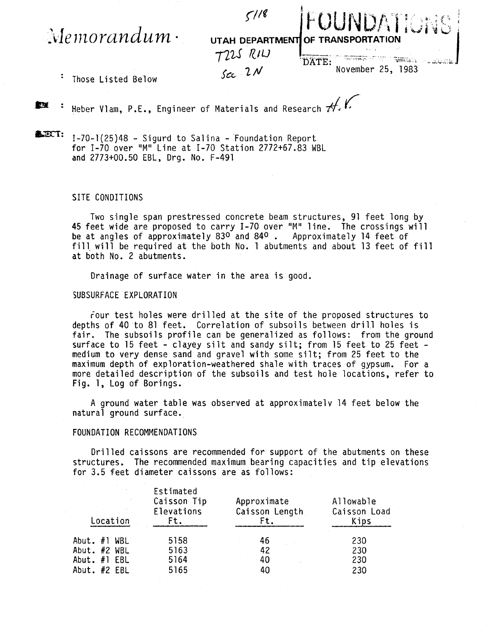$\mathcal{M}$ emorandum $\cdot$ 



: Those Listed Below

**IDI** : Heber Vlam, P.E., Engineer of Materials and Research  $#$ .

 $\triangle$  $ET:$  I-70-1(25)48 - Sigurd to Salina - Foundation Report for 1-70 over "M" Line at 1-70 Station 2772+67.83 WBL and 2773+00.50 EBL, Drg. No. F-491

## SITE CONDITIONS

Two single span prestressed concrete beam structures, 91 feet long by 45 feet wide are proposed to carry 1-70 over "M" line. The crossings will be at angles of approximately 83<sup>0</sup> and 84<sup>0</sup> . Approximately 14 feet of fill will be required at the both No. 1 abutments and about 13 feet of fill at both No. 2 abutments.

Drainage of surface water in the area is good.

## SUBSURFACE EXPLORATION

four test holes were drilled at the site of the proposed structures to depths of 40 to 81 feet. Correlation of subsoils between drill holes is fair. The subsoils profile can be generalized as follows: from the ground surface to 15 feet - clayey silt and sandy silt; from 15 feet to 25 feet - medium to very dense sand and gravel with some silt; from 25 feet to the maximum depth of exploration-weathered shale with traces of gypsum. For a more detailed description of the subsoils and test hole locations, refer to Fig. 1, Log of Borings.

A ground water table was observed at approximate1v 14 feet below the natural ground surface.

## FOUNDATION RECOMMENDATIONS

Drilled caissons are recommended for support of the abutments on these structures. The recommended maximum bearing capacities and tip elevations for 3.5 feet diameter caissons are as follows:

| Location       | Estimated<br>Caisson Tip<br>Elevations<br>Ft. | Approximate<br>Caisson Length<br>Ft. | Allowable<br>Caisson Load<br>Kips |
|----------------|-----------------------------------------------|--------------------------------------|-----------------------------------|
| Abut. $#1$ WBL | 5158                                          | 46                                   | 230                               |
| Abut. #2 WBL   | 5163                                          | 42                                   | 230                               |
| Abut. $#1$ EBL | 5164                                          | 40                                   | 230                               |
| Abut. #2 EBL   | 5165                                          | 40                                   | 230                               |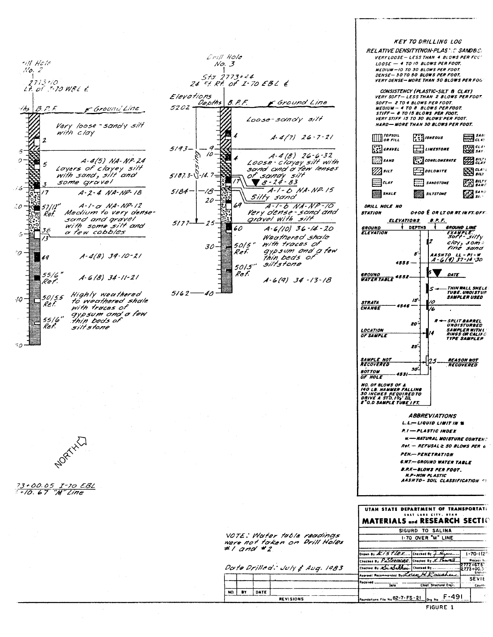-ill Hote  $No. 2$ 1773+10<br>t. of .t-10 WBL &  $\iota$ ths  $B.P.F.$ F Ground'Line Very loose - sandy silt with clay  $\overline{2}$ ,9 覆  $\overline{a}$ A-4(5) NA-NP-24 5 Layers of clayey silt with sand, silt and some gravel  $\mathcal{L}$  $A - 2 - 4 NA - NP - 18$  $^{\prime}$  $52/12''$  $A-1-\alpha$  NA-NP-12  $20$ Ŵ, Medium to very dense-Ref. sand and gravel<br>with some silt and<br>a few cobbles 38 Z,  $\overline{\mathcal{E}}$ °0  $A-4(B)$  39-10-21 40 55/6"<br>Ref.  $A - 6 (B) 34 - 11 - 21$ Highly weathered  $50/5.5$  $40^{\circ}$ to weathered shale<br>with traces of Ref aypsum and a few<br>thin beds of 55 | 6"<br>Ref. siltstone  $50$ 

Drill Hole  $No.3$  $5 + r$  $2773+44$ 24  $Ff$  Rt of I-70 EBL  $6$ Elevations Depths  $B.P.F.$ Ground Line  $5202.$ Loose-sandy silt  $A - 4/7$   $26 - 7 - 21$  $5193 -$ O  $A-4(B)$  26-6-32  $\sqrt{2}$ Q, Ŵ Loose-clayey sitt with  $5187.3-\sqrt{-14.7}$ of sandy silt  $A-1 - D$  NA. NP. 15  $5/84$ 18 Silty sand  $2\dot{o}$  $\overline{a}$  $A-I-BNA-NP-1O$ Very dense-sond and<br>gravel with silt  $5177 25$  $A.6(10)$  36 - 14 - 20  $60$ Weathered shale  $50/5$ " with traces of  $30<sup>1</sup>$ gypsum and a few<br>thin beds of  $R$ ef. siltstone  $50/5"$ J.  $Ref$  $A-6(9)$  34 -13 -18  $5162 - 40$ 

**KEY TO DRILLING LOG** 

**RELATIVE DENSITY(NON-PLAST)C SANDBIS:** VERY LOOSE - LESS THAN 4 BLOWS PER FOU'  $LOGSE - 4$  TO 10 BLOWS PER FOOT. **MEDIUM - 10 TO 30 BLOWS PER FOOT.**<br>DENSE - 30 TO 50 BLOWS PER FOOT. **VERY DENSE-MORE THAN 50 BLOWS PER FOG** 

CONSISTENCY (PLASTIC-SILT & CLAY)<br>VERY SOFT - LESS THAN 2 BLOWS PER FOOT.  $SOFT - 2 TO 4 BLOWS PER FOOT$ **MEDIUM - 4 TO 8 BLOWS PER FOOT.**<br>STIFF - 8 TO 15 BLOWS PER FOOT. **VERY STIFF 15 TO 30 BLOWS PER FOOT.** HARD- MORE THAN 30 BLOWS PER FOOT.



**NORTHER** 

> VOTE: Water table readings were not taken on Drill Holes

FIGURE 1

County